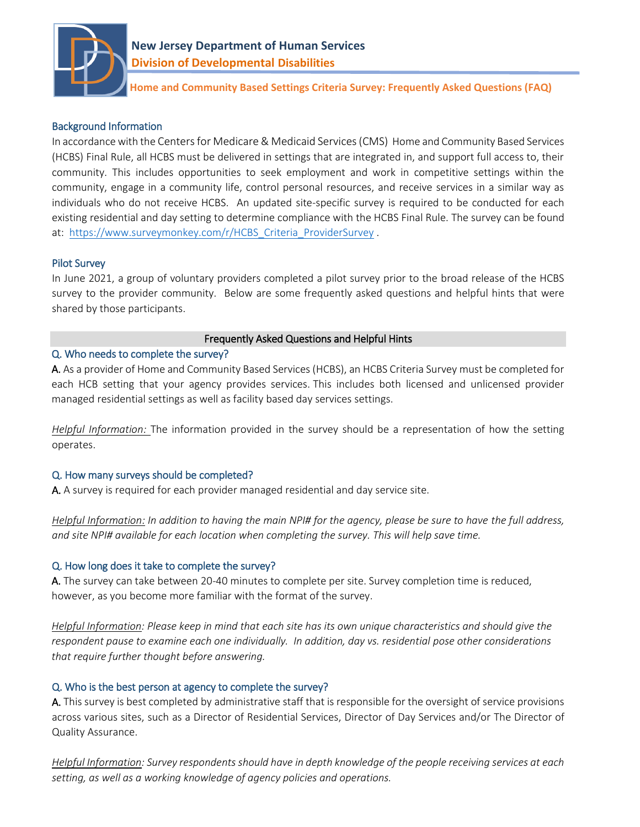

 **Home and Community Based Settings Criteria Survey: Frequently Asked Questions (FAQ)**

## Background Information

In accordance with the Centers for Medicare & Medicaid Services (CMS) Home and Community Based Services (HCBS) Final Rule, all HCBS must be delivered in settings that are integrated in, and support full access to, their community. This includes opportunities to seek employment and work in competitive settings within the community, engage in a community life, control personal resources, and receive services in a similar way as individuals who do not receive HCBS. An updated site-specific survey is required to be conducted for each existing residential and day setting to determine compliance with the HCBS Final Rule. The survey can be found at: [https://www.surveymonkey.com/r/HCBS\\_Criteria\\_ProviderSurvey](https://www.surveymonkey.com/r/HCBS_Criteria_ProviderSurvey) .

#### Pilot Survey

In June 2021, a group of voluntary providers completed a pilot survey prior to the broad release of the HCBS survey to the provider community. Below are some frequently asked questions and helpful hints that were shared by those participants.

## Frequently Asked Questions and Helpful Hints

## Q. Who needs to complete the survey?

A. As a provider of Home and Community Based Services (HCBS), an HCBS Criteria Survey must be completed for each HCB setting that your agency provides services. This includes both licensed and unlicensed provider managed residential settings as well as facility based day services settings.

*Helpful Information:* The information provided in the survey should be a representation of how the setting operates.

# Q. How many surveys should be completed?

A. A survey is required for each provider managed residential and day service site.

*Helpful Information: In addition to having the main NPI# for the agency, please be sure to have the full address, and site NPI# available for each location when completing the survey. This will help save time.*

# Q. How long does it take to complete the survey?

A. The survey can take between 20-40 minutes to complete per site. Survey completion time is reduced, however, as you become more familiar with the format of the survey.

*Helpful Information: Please keep in mind that each site has its own unique characteristics and should give the respondent pause to examine each one individually. In addition, day vs. residential pose other considerations that require further thought before answering.*

# Q. Who is the best person at agency to complete the survey?

A. This survey is best completed by administrative staff that is responsible for the oversight of service provisions across various sites, such as a Director of Residential Services, Director of Day Services and/or The Director of Quality Assurance.

*Helpful Information: Survey respondents should have in depth knowledge of the people receiving services at each setting, as well as a working knowledge of agency policies and operations.*